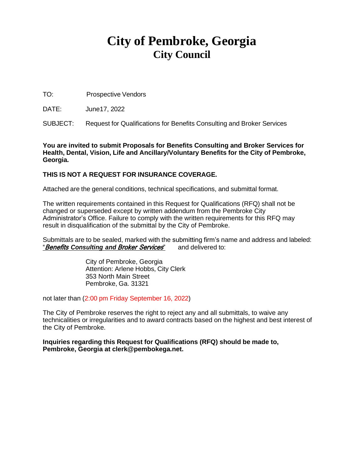# **City of Pembroke, Georgia City Council**

TO: Prospective Vendors

DATE: June17, 2022

SUBJECT: Request for Qualifications for Benefits Consulting and Broker Services

**You are invited to submit Proposals for Benefits Consulting and Broker Services for Health, Dental, Vision, Life and Ancillary/Voluntary Benefits for the City of Pembroke, Georgia.**

# **THIS IS NOT A REQUEST FOR INSURANCE COVERAGE.**

Attached are the general conditions, technical specifications, and submittal format.

The written requirements contained in this Request for Qualifications (RFQ) shall not be changed or superseded except by written addendum from the Pembroke City Administrator's Office. Failure to comply with the written requirements for this RFQ may result in disqualification of the submittal by the City of Pembroke.

Submittals are to be sealed, marked with the submitting firm's name and address and labeled: "Benefits *Consulting and* Broker Services" and delivered to:

> City of Pembroke, Georgia Attention: Arlene Hobbs, City Clerk 353 North Main Street Pembroke, Ga. 31321

not later than (2:00 pm Friday September 16, 2022)

The City of Pembroke reserves the right to reject any and all submittals, to waive any technicalities or irregularities and to award contracts based on the highest and best interest of the City of Pembroke.

**Inquiries regarding this Request for Qualifications (RFQ) should be made to, Pembroke, Georgia at [clerk@pembokega.net.](mailto:deputyclerk@pembokega.net)**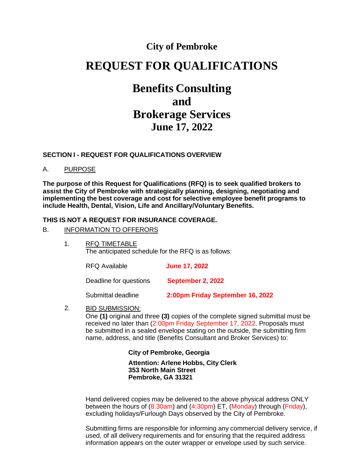# **City of Pembroke**

# **REQUEST FOR QUALIFICATIONS**

# **Benefits Consulting and Brokerage Services June 17, 2022**

#### **SECTION I - REQUEST FOR QUALIFICATIONS OVERVIEW**

#### A. PURPOSE

**The purpose of this Request for Qualifications (RFQ) is to seek qualified brokers to assist the City of Pembroke with strategically planning, designing, negotiating and implementing the best coverage and cost for selective employee benefit programs to include Health, Dental, Vision, Life and Ancillary/Voluntary Benefits.**

#### **THIS IS NOT A REQUEST FOR INSURANCE COVERAGE.**

#### B. INFORMATION TO OFFERORS

1. RFQ TIMETABLE The anticipated schedule for the RFQ is as follows:

RFQ Available **June 17, 2022**

Deadline for questions **September 2, 2022**

Submittal deadline **2:00pm Friday September 16, 2022**

2. BID SUBMISSION:

> One **(1)** original and three **(3)** copies of the complete signed submittal must be received no later than (2:00pm Friday September 17, 2022. Proposals must be submitted in a sealed envelope stating on the outside, the submitting firm name, address, and title (Benefits Consultant and Broker Services) to:

# **City of Pembroke, Georgia**

**Attention: Arlene Hobbs, City Clerk 353 North Main Street Pembroke, GA 31321**

Hand delivered copies may be delivered to the above physical address ONLY between the hours of (8:30am) and (4:30pm) ET, (Monday) through (Friday), excluding holidays/Furlough Days observed by the City of Pembroke.

Submitting firms are responsible for informing any commercial delivery service, if used, of all delivery requirements and for ensuring that the required address information appears on the outer wrapper or envelope used by such service.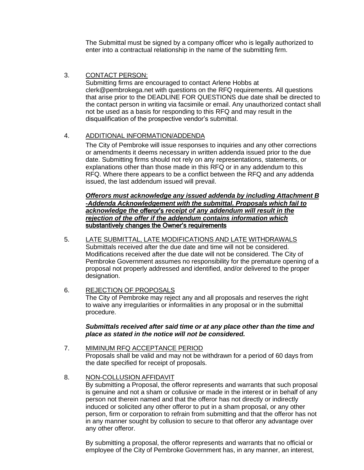The Submittal must be signed by a company officer who is legally authorized to enter into a contractual relationship in the name of the submitting firm.

# 3. CONTACT PERSON:

Submitting firms are encouraged to contact Arlene Hobbs at [clerk@pembrokega.net](mailto:clerk@pembrokega.net) with questions on the RFQ requirements. All questions that arise prior to the DEADLINE FOR QUESTIONS due date shall be directed to the contact person in writing via facsimile or email. Any unauthorized contact shall not be used as a basis for responding to this RFQ and may result in the disqualification of the prospective vendor's submittal.

# 4. ADDITIONAL INFORMATION/ADDENDA

The City of Pembroke will issue responses to inquiries and any other corrections or amendments it deems necessary in written addenda issued prior to the due date. Submitting firms should not rely on any representations, statements, or explanations other than those made in this RFQ or in any addendum to this RFQ. Where there appears to be a conflict between the RFQ and any addenda issued, the last addendum issued will prevail.

#### *Offerors must acknowledge any issued addenda by including Attachment B -Addenda Acknowledgement with the submittal. Proposals which fail to acknowledge the* offeror's *receipt of any addendum will result in the rejection of the offer if the addendum contains information which* substantively changes the Owner's requirements

5. LATE SUBMITTAL, LATE MODIFICATIONS AND LATE WITHDRAWALS Submittals received after the due date and time will not be considered. Modifications received after the due date will not be considered. The City of Pembroke Government assumes no responsibility for the premature opening of a proposal not properly addressed and identified, and/or delivered to the proper designation.

#### 6. REJECTION OF PROPOSALS

The City of Pembroke may reject any and all proposals and reserves the right to waive any irregularities or informalities in any proposal or in the submittal procedure.

#### *Submittals received after said time or at any place other than the time and place as stated in the notice will not be considered.*

# 7. MIMINUM RFQ ACCEPTANCE PERIOD Proposals shall be valid and may not be withdrawn for a period of 60 days from the date specified for receipt of proposals.

#### 8. NON-COLLUSION AFFIDAVIT

By submitting a Proposal, the offeror represents and warrants that such proposal is genuine and not a sham or collusive or made in the interest or in behalf of any person not therein named and that the offeror has not directly or indirectly induced or solicited any other offeror to put in a sham proposal, or any other person, firm or corporation to refrain from submitting and that the offeror has not in any manner sought by collusion to secure to that offeror any advantage over any other offeror.

By submitting a proposal, the offeror represents and warrants that no official or employee of the City of Pembroke Government has, in any manner, an interest,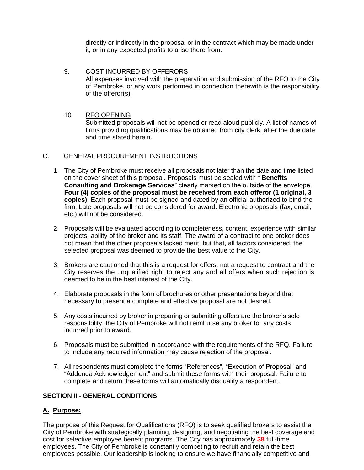directly or indirectly in the proposal or in the contract which may be made under it, or in any expected profits to arise there from.

9. COST INCURRED BY OFFERORS All expenses involved with the preparation and submission of the RFQ to the City of Pembroke, or any work performed in connection therewith is the responsibility of the offeror(s).

#### 10. RFQ OPENING

Submitted proposals will not be opened or read aloud publicly. A list of names of firms providing qualifications may be obtained from city clerk, after the due date and time stated herein.

#### C. GENERAL PROCUREMENT INSTRUCTIONS

- 1. The City of Pembroke must receive all proposals not later than the date and time listed on the cover sheet of this proposal. Proposals must be sealed with " **Benefits Consulting and Brokerage Services**" clearly marked on the outside of the envelope. **Four (4) copies of the proposal must be received from each offeror (1 original, 3 copies)**. Each proposal must be signed and dated by an official authorized to bind the firm. Late proposals will not be considered for award. Electronic proposals (fax, email, etc.) will not be considered.
- 2. Proposals will be evaluated according to completeness, content, experience with similar projects, ability of the broker and its staff. The award of a contract to one broker does not mean that the other proposals lacked merit, but that, all factors considered, the selected proposal was deemed to provide the best value to the City.
- 3. Brokers are cautioned that this is a request for offers, not a request to contract and the City reserves the unqualified right to reject any and all offers when such rejection is deemed to be in the best interest of the City.
- 4. Elaborate proposals in the form of brochures or other presentations beyond that necessary to present a complete and effective proposal are not desired.
- 5. Any costs incurred by broker in preparing or submitting offers are the broker's sole responsibility; the City of Pembroke will not reimburse any broker for any costs incurred prior to award.
- 6. Proposals must be submitted in accordance with the requirements of the RFQ. Failure to include any required information may cause rejection of the proposal.
- 7. All respondents must complete the forms "References", "Execution of Proposal" and "Addenda Acknowledgement" and submit these forms with their proposal. Failure to complete and return these forms will automatically disqualify a respondent.

# **SECTION II - GENERAL CONDITIONS**

# **A. Purpose:**

The purpose of this Request for Qualifications (RFQ) is to seek qualified brokers to assist the City of Pembroke with strategically planning, designing, and negotiating the best coverage and cost for selective employee benefit programs. The City has approximately **38** full-time employees. The City of Pembroke is constantly competing to recruit and retain the best employees possible. Our leadership is looking to ensure we have financially competitive and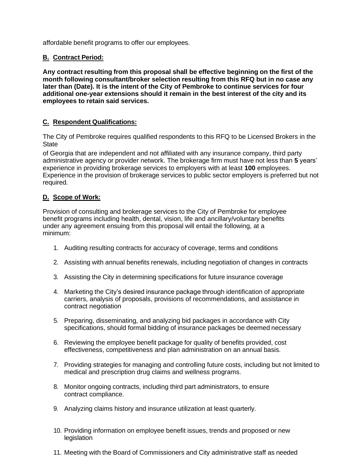affordable benefit programs to offer our employees.

# **B. Contract Period:**

**Any contract resulting from this proposal shall be effective beginning on the first of the month following consultant/broker selection resulting from this RFQ but in no case any later than (Date). It is the intent of the City of Pembroke to continue services for four additional one-year extensions should it remain in the best interest of the city and its employees to retain said services.**

# **C. Respondent Qualifications:**

The City of Pembroke requires qualified respondents to this RFQ to be Licensed Brokers in the **State** 

of Georgia that are independent and not affiliated with any insurance company, third party administrative agency or provider network. The brokerage firm must have not less than **5** years' experience in providing brokerage services to employers with at least **100** employees. Experience in the provision of brokerage services to public sector employers is preferred but not required.

# **D. Scope of Work:**

Provision of consulting and brokerage services to the City of Pembroke for employee benefit programs including health, dental, vision, life and ancillary/voluntary benefits under any agreement ensuing from this proposal will entail the following, at a minimum:

- 1. Auditing resulting contracts for accuracy of coverage, terms and conditions
- 2. Assisting with annual benefits renewals, including negotiation of changes in contracts
- 3. Assisting the City in determining specifications for future insurance coverage
- 4. Marketing the City's desired insurance package through identification of appropriate carriers, analysis of proposals, provisions of recommendations, and assistance in contract negotiation
- 5. Preparing, disseminating, and analyzing bid packages in accordance with City specifications, should formal bidding of insurance packages be deemed necessary
- 6. Reviewing the employee benefit package for quality of benefits provided, cost effectiveness, competitiveness and plan administration on an annual basis.
- 7. Providing strategies for managing and controlling future costs, including but not limited to medical and prescription drug claims and wellness programs.
- 8. Monitor ongoing contracts, including third part administrators, to ensure contract compliance.
- 9. Analyzing claims history and insurance utilization at least quarterly.
- 10. Providing information on employee benefit issues, trends and proposed or new legislation
- 11. Meeting with the Board of Commissioners and City administrative staff as needed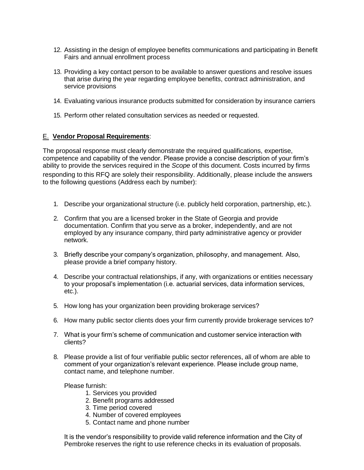- 12. Assisting in the design of employee benefits communications and participating in Benefit Fairs and annual enrollment process
- 13. Providing a key contact person to be available to answer questions and resolve issues that arise during the year regarding employee benefits, contract administration, and service provisions
- 14. Evaluating various insurance products submitted for consideration by insurance carriers
- 15. Perform other related consultation services as needed or requested.

#### E. **Vendor Proposal Requirements**:

The proposal response must clearly demonstrate the required qualifications, expertise, competence and capability of the vendor. Please provide a concise description of your firm's ability to provide the services required in the *Scope* of this document. Costs incurred by firms responding to this RFQ are solely their responsibility. Additionally, please include the answers to the following questions (Address each by number):

- 1. Describe your organizational structure (i.e. publicly held corporation, partnership, etc.).
- 2. Confirm that you are a licensed broker in the State of Georgia and provide documentation. Confirm that you serve as a broker, independently, and are not employed by any insurance company, third party administrative agency or provider network.
- 3. Briefly describe your company's organization, philosophy, and management. Also, please provide a brief company history.
- 4. Describe your contractual relationships, if any, with organizations or entities necessary to your proposal's implementation (i.e. actuarial services, data information services, etc.).
- 5. How long has your organization been providing brokerage services?
- 6. How many public sector clients does your firm currently provide brokerage services to?
- 7. What is your firm's scheme of communication and customer service interaction with clients?
- 8. Please provide a list of four verifiable public sector references, all of whom are able to comment of your organization's relevant experience. Please include group name, contact name, and telephone number.

Please furnish:

- 1. Services you provided
- 2. Benefit programs addressed
- 3. Time period covered
- 4. Number of covered employees
- 5. Contact name and phone number

It is the vendor's responsibility to provide valid reference information and the City of Pembroke reserves the right to use reference checks in its evaluation of proposals.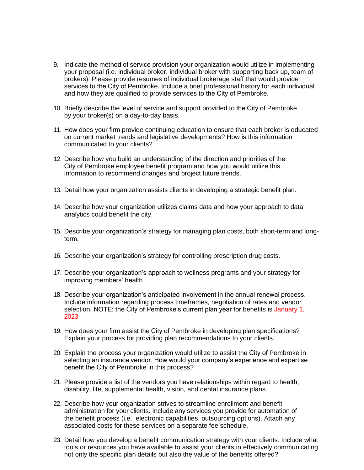- 9. Indicate the method of service provision your organization would utilize in implementing your proposal (i.e. individual broker, individual broker with supporting back up, team of brokers). Please provide resumes of individual brokerage staff that would provide services to the City of Pembroke. Include a brief professional history for each individual and how they are qualified to provide services to the City of Pembroke.
- 10. Briefly describe the level of service and support provided to the City of Pembroke by your broker(s) on a day-to-day basis.
- 11. How does your firm provide continuing education to ensure that each broker is educated on current market trends and legislative developments? How is this information communicated to your clients?
- 12. Describe how you build an understanding of the direction and priorities of the City of Pembroke employee benefit program and how you would utilize this information to recommend changes and project future trends.
- 13. Detail how your organization assists clients in developing a strategic benefit plan.
- 14. Describe how your organization utilizes claims data and how your approach to data analytics could benefit the city.
- 15. Describe your organization's strategy for managing plan costs, both short-term and longterm.
- 16. Describe your organization's strategy for controlling prescription drug costs.
- 17. Describe your organization's approach to wellness programs and your strategy for improving members' health.
- 18. Describe your organization's anticipated involvement in the annual renewal process. Include information regarding process timeframes, negotiation of rates and vendor selection. NOTE: the City of Pembroke's current plan year for benefits is January 1, 2023
- 19. How does your firm assist the City of Pembroke in developing plan specifications? Explain your process for providing plan recommendations to your clients.
- 20. Explain the process your organization would utilize to assist the City of Pembroke in selecting an insurance vendor. How would your company's experience and expertise benefit the City of Pembroke in this process?
- 21. Please provide a list of the vendors you have relationships within regard to health, disability, life, supplemental health, vision, and dental insurance plans.
- 22. Describe how your organization strives to streamline enrollment and benefit administration for your clients. Include any services you provide for automation of the benefit process (i.e., electronic capabilities, outsourcing options). Attach any associated costs for these services on a separate fee schedule.
- 23. Detail how you develop a benefit communication strategy with your clients. Include what tools or resources you have available to assist your clients in effectively communicating not only the specific plan details but also the value of the benefits offered?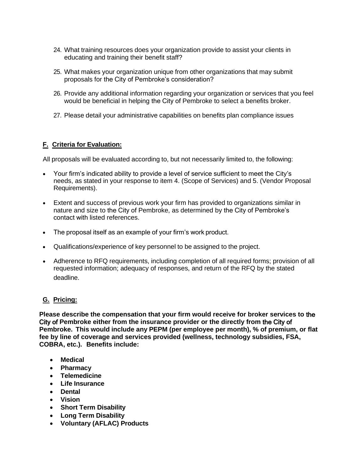- 24. What training resources does your organization provide to assist your clients in educating and training their benefit staff?
- 25. What makes your organization unique from other organizations that may submit proposals for the City of Pembroke's consideration?
- 26. Provide any additional information regarding your organization or services that you feel would be beneficial in helping the City of Pembroke to select a benefits broker.
- 27. Please detail your administrative capabilities on benefits plan compliance issues

# **F. Criteria for Evaluation:**

All proposals will be evaluated according to, but not necessarily limited to, the following:

- Your firm's indicated ability to provide a level of service sufficient to meet the City's needs, as stated in your response to item 4. (Scope of Services) and 5. (Vendor Proposal Requirements).
- Extent and success of previous work your firm has provided to organizations similar in nature and size to the City of Pembroke, as determined by the City of Pembroke's contact with listed references.
- The proposal itself as an example of your firm's work product.
- Qualifications/experience of key personnel to be assigned to the project.
- Adherence to RFQ requirements, including completion of all required forms; provision of all requested information; adequacy of responses, and return of the RFQ by the stated deadline.

# **G. Pricing:**

**Please describe the compensation that your firm would receive for broker services to** the City of **Pembroke either from the insurance provider or the directly from** the City of **Pembroke. This would include any PEPM (per employee per month), % of premium, or flat fee by line of coverage and services provided (wellness, technology subsidies, FSA, COBRA, etc.). Benefits include:**

- **Medical**
- **Pharmacy**
- **Telemedicine**
- **Life Insurance**
- **Dental**
- **Vision**
- **Short Term Disability**
- **Long Term Disability**
- **Voluntary (AFLAC) Products**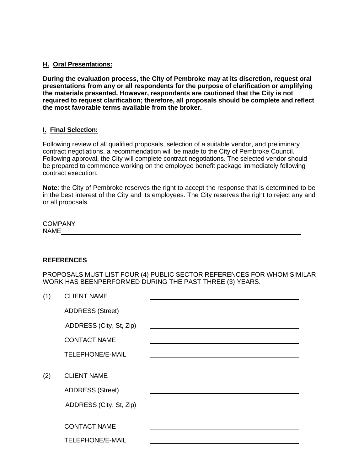#### **H. Oral Presentations:**

**During the evaluation process, the City of Pembroke may at its discretion, request oral presentations from any or all respondents for the purpose of clarification or amplifying the materials presented. However, respondents are cautioned that the City is not required to request clarification; therefore, all proposals should be complete and reflect the most favorable terms available from the broker.**

#### **I. Final Selection:**

Following review of all qualified proposals, selection of a suitable vendor, and preliminary contract negotiations, a recommendation will be made to the City of Pembroke Council. Following approval, the City will complete contract negotiations. The selected vendor should be prepared to commence working on the employee benefit package immediately following contract execution.

**Note**: the City of Pembroke reserves the right to accept the response that is determined to be in the best interest of the City and its employees. The City reserves the right to reject any and or all proposals.

**COMPANY** NAME

#### **REFERENCES**

PROPOSALS MUST LIST FOUR (4) PUBLIC SECTOR REFERENCES FOR WHOM SIMILAR WORK HAS BEENPERFORMED DURING THE PAST THREE (3) YEARS.

| (1) | <b>CLIENT NAME</b>      |  |
|-----|-------------------------|--|
|     | <b>ADDRESS (Street)</b> |  |
|     | ADDRESS (City, St, Zip) |  |
|     | <b>CONTACT NAME</b>     |  |
|     | <b>TELEPHONE/E-MAIL</b> |  |
|     |                         |  |
| (2) | <b>CLIENT NAME</b>      |  |
|     | <b>ADDRESS (Street)</b> |  |
|     | ADDRESS (City, St, Zip) |  |
|     |                         |  |
|     | <b>CONTACT NAME</b>     |  |
|     | <b>TELEPHONE/E-MAIL</b> |  |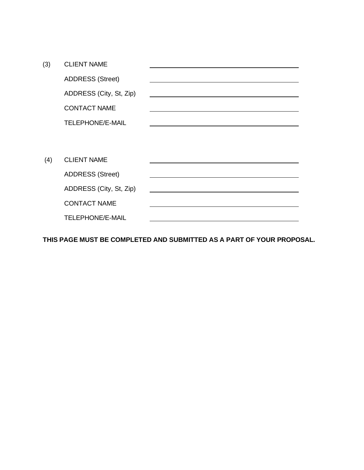| (3) | <b>CLIENT NAME</b>      |  |
|-----|-------------------------|--|
|     | <b>ADDRESS (Street)</b> |  |
|     | ADDRESS (City, St, Zip) |  |
|     | <b>CONTACT NAME</b>     |  |
|     | <b>TELEPHONE/E-MAIL</b> |  |
|     |                         |  |
|     |                         |  |
| (4) | <b>CLIENT NAME</b>      |  |
|     | <b>ADDRESS (Street)</b> |  |
|     | ADDRESS (City, St, Zip) |  |
|     | <b>CONTACT NAME</b>     |  |
|     | <b>TELEPHONE/E-MAIL</b> |  |

**THIS PAGE MUST BE COMPLETED AND SUBMITTED AS A PART OF YOUR PROPOSAL.**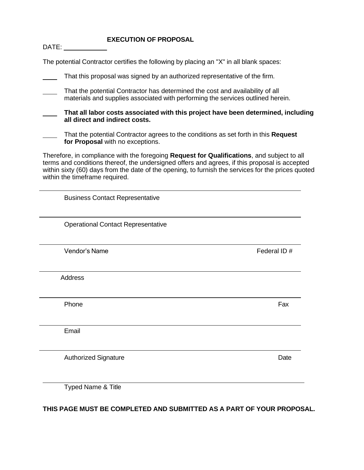#### **EXECUTION OF PROPOSAL**

DATE:

| The potential Contractor certifies the following by placing an "X" in all blank spaces: |  |  |
|-----------------------------------------------------------------------------------------|--|--|
|                                                                                         |  |  |

| That this proposal was signed by an authorized representative of the firm.                                                                                                                                                                                                                                                          |             |  |  |  |
|-------------------------------------------------------------------------------------------------------------------------------------------------------------------------------------------------------------------------------------------------------------------------------------------------------------------------------------|-------------|--|--|--|
| That the potential Contractor has determined the cost and availability of all<br>materials and supplies associated with performing the services outlined herein.                                                                                                                                                                    |             |  |  |  |
| That all labor costs associated with this project have been determined, including<br>all direct and indirect costs.                                                                                                                                                                                                                 |             |  |  |  |
| That the potential Contractor agrees to the conditions as set forth in this Request<br>for Proposal with no exceptions.                                                                                                                                                                                                             |             |  |  |  |
| Therefore, in compliance with the foregoing Request for Qualifications, and subject to all<br>terms and conditions thereof, the undersigned offers and agrees, if this proposal is accepted<br>within sixty (60) days from the date of the opening, to furnish the services for the prices quoted<br>within the timeframe required. |             |  |  |  |
| <b>Business Contact Representative</b>                                                                                                                                                                                                                                                                                              |             |  |  |  |
| <b>Operational Contact Representative</b>                                                                                                                                                                                                                                                                                           |             |  |  |  |
| Vendor's Name                                                                                                                                                                                                                                                                                                                       | Federal ID# |  |  |  |
| <b>Address</b>                                                                                                                                                                                                                                                                                                                      |             |  |  |  |
| Phone                                                                                                                                                                                                                                                                                                                               | Fax         |  |  |  |
| Email                                                                                                                                                                                                                                                                                                                               |             |  |  |  |
| <b>Authorized Signature</b>                                                                                                                                                                                                                                                                                                         | Date        |  |  |  |
| Typed Name & Title                                                                                                                                                                                                                                                                                                                  |             |  |  |  |

**THIS PAGE MUST BE COMPLETED AND SUBMITTED AS A PART OF YOUR PROPOSAL.**